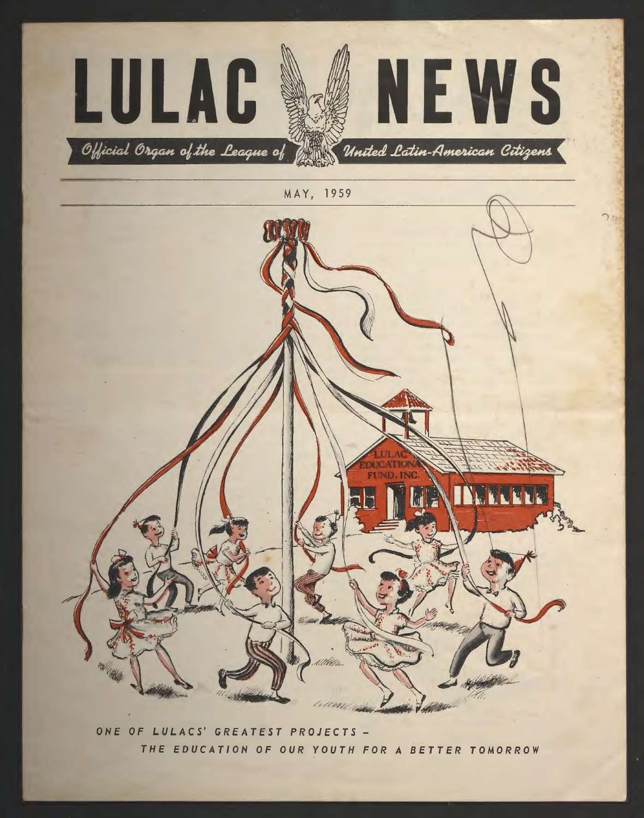

ONE OF LULACS' GREATEST PROJECTS -THE EDUCATION OF OUR YOUTH FOR A BETTER TOMORROW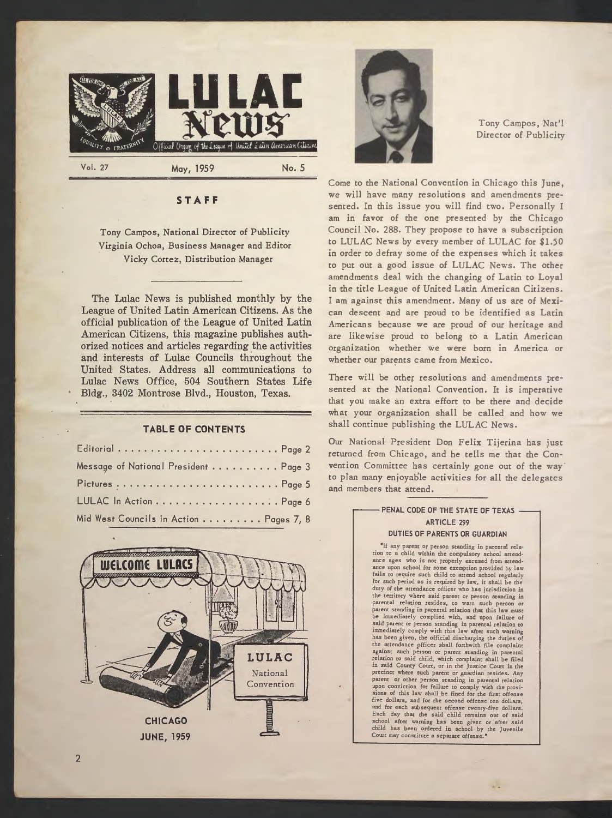



Tony Campos, Nat'! Director of Publicity

## **ST AF F**

## Tony Campos, National Director of Publicity Virginia Ochoa, Business Manager and Editor Vicky Cortez, Distribution Manager

The Lulac News is published monthly by the League of United Latin American Citizens. As the official publication of the League of United Latin American Citizens, this magazine publishes authorized notices and articles regarding the activities and interests of Lulac Councils throughout the United States. Address all communications to Lulac News Office, 504 Southern States Life Bldg., 3402 Montrose Blvd., Houston, Texas.

#### **TABLE OF CONTENTS**

| Editorial  Page 2                       |  |
|-----------------------------------------|--|
| Message of National President Page 3    |  |
|                                         |  |
|                                         |  |
| Mid West Councils in Action  Pages 7, 8 |  |



Come to the National Convention in Chicago this June, we will have many resolutions and amendments presented. In this issue you will find two. Personally I am in favor of the one presented by the Chicago Council No. 288. They propose to have a subscription to LULAC News by every member of LULAC for \$1.50 in order to defray some of the expenses which it takes to put out a good issue of LULAC News. The other amendments deal with the changing of Latin to Loyal in the title League of United Latin American Citizens. I am against *this* amendment. Many of us are of Mexican descent and are proud to be identified as Latin Americans because we are proud of our heritage and are likewise proud to belong to a Latin American organization whether we were born in America or whether our parents came from Mexico.

There will be other resolutions and amendments presented at the National Convention. It *is* imperative that you make an extra effort to be there and decide what your organization shall be called and how we shall continue publishing the LULAC News.

Our National President Don Felix Tijerina has just returned from Chicago, and he tells me that the Convention Committee has certainly gone out of the way to plan many enjoyable activities for all the delegates and members that attend.

## PENAL CODE OF THE STATE OF TEXAS -ARTICLE 299 DUTIES OF PARENTS OR GUARDIAN

"If any parent or person standing in parental relation to a child within the compulsory school attendance ages who is not properly excused from attendance upon school for some exemption provided by law fails to require such child to arcend school regularly for such period as is reqiired by law, ic shall be the duty of the acrendance officer who has jurisdiction in the territory where said parent or person standing in parental relation resides, to warn such person or parent standing in parental relation chat chis law muse immediately complied with, and upon failure of said parent or person standing in parental relation co immediately comply with this law after such warning has been given, the official discharging the duties of the attendance officer shall forthwith file complaint against such person or parent standing in parental relation to said child, which complaint shall be filed in said County Court, or in the Justice Court in the precinct where such parent or guardian resides. Any parent or ocher person standing in parental relation upon conviction for failure to comply with the provi-sions of this law shall be fined for che first offense five dollars, and for che second offense ten dollars, and for each subsequent offense twency-five dollars. Each day chat the said child remains out of said school after warning has been given or after said child has been ordered in school by the Juvenile Court may constitute a separate offense."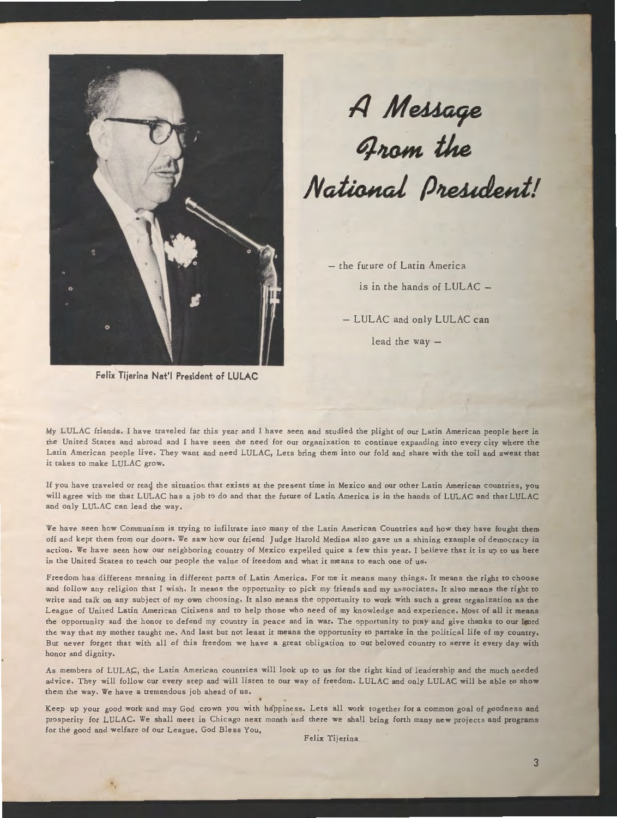

**Felix Tijerina Nat'I President of LULAC** 

# A Message<br>Grom the National President!

- the future of Latin America is in the hands of LULAC  $-$ 

- LULAC and only LULAC can lead the way  $-$ 

My LULAC friends. I have traveled fat this year and I have seen and studied the plight of our Latin American people here in the United States and abroad and I have seen the need for our organization to continue expanding into every city where the Latin American people live. They want and need LULAC, Lets bring them into our fold and share with the toil and sweat that it takes to make LULAC grow.

If you have traveled or read the situation that exists at the present time in Mexico and our other Latin American countries, you will agree with me that LULAC has a job to do and that the future of Latin America is in the hands of LULAC and that LULAC and only LULAC can lead the way.

We have seen how Communism is trying to infiltrate into many of the Latin American Countries and how they have fought them off and kept them from our doors, We saw how our friend Judge Harold Medina also gave us a shining example of democracy in action. We have seen how our neighboring country of Mexico expelled quite a few this year. I believe that it is up to us here in the United States co teach our people the value of freedom and what it means to each one of us.

Freedom has different meaning in different parts of Latin America, For me it means many things. It means the right co choose and follow any religion that I wish. It means the opportunity to pick my friends and my associates. It also means the right to write and talk on any subject of my own choosing. It also means the opportunity to work with such a great organization as the League of United Latin American Citizens and to help those who need of my knowledge and experience. Most of all it means the opportunity and the honor to defend my country in peace and in war. The opportunity to pray and give thanks to our Lord the way that my mother taught me. And last but not least it means the opportunity to partake in the political life of my country. But never forget that with all of this freedom we have a great obligation to our beloved country to serve it every day with honor and dignity.

As members of LULAC, the Latin American countries will look up to us for the right kind of leadership and the much needed advice. They will follow our every step and will listen to our way of freedom. LULAC and only LULAC will be able to show them the way. We have a tremendous job ahead of us.

Keep up your good work and may God crown you with happiness. Lets all work together for a common goal of goodness and prosperity for LULAC. We shall meet in Chicago next month and there we shall bring forth many new projects and programs for the good and welfare of our League. God Bless You,

Felix Tijerina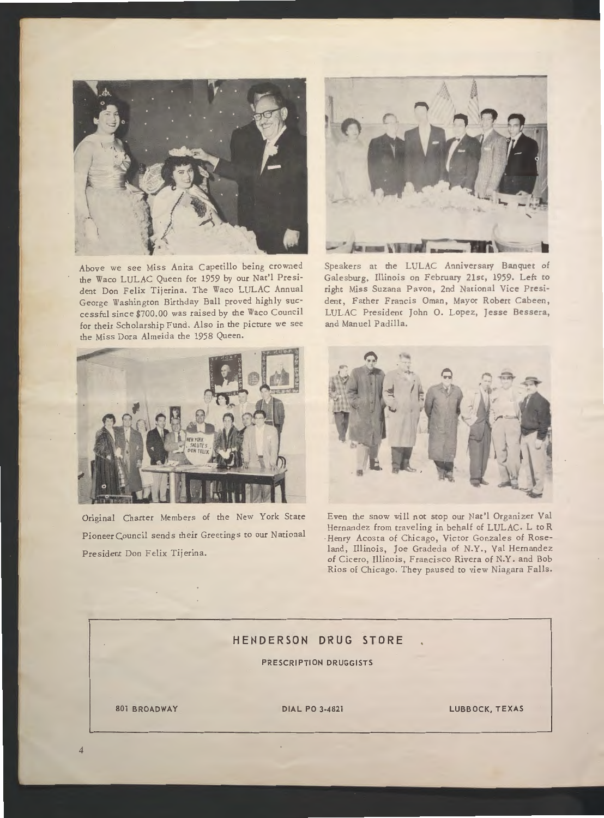

Above we see Miss Anita Capetillo being crowned the Waco LULAC Queen for 1959 by our Nae'! President Don Felix Tijerina. The Waco LULAC Annual George Washington Birthday Ball proved highly successful since \$700.00 was raised by the Waco Council for their Scholarship Fund. Also in the picture we see the Miss Dora Almeida the 1958 Queen.



Original Charter Members of the New York State Pioneer Council sends their Greetings co our National President Don Felix Tijerina.



Speakers at the LULAC Anniversary Banquet of Galesburg, Illinois on February 21st, 1959, Left co right Miss Suzana Pavon, 2nd National Vice President, Father Francis Oman, Mayor Robert Cabeen, LULAC President John O. Lopez, Jesse Bessera, and Manuel Padilla.



Even the snow will not stop our Nac'l Organizer Val Hernandez from traveling in behalf of LULAC. L co R Henry Acosta of Chicago, Victor Gonzales of Roseland, Illinois, Joe Gradeda of N.Y., Val Hernandez of Cicero, Illinois, Francisco Rivera of N.Y. and Bob Rios of Chicago. They paused to view Niagara Falls.

i.

## **HENDERSON DRUG STORE**

**PRESCRIPTION DRUGGISTS** 

**801 BROADWAY DIAL PO 3-4821 LUBBOCK, TEXAS**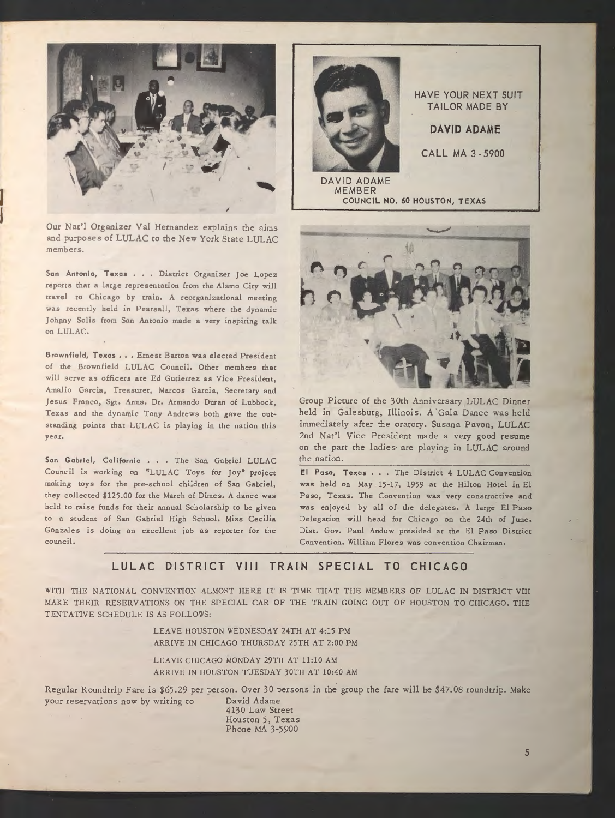

Our Nat'l Organizer Val Hernandez explains the aims and purposes of LULAC to the New York State LULAC members.

I **1** 

> San Antonio, Texas . . . District Organizer Joe Lopez reports that a large representation from the Alamo City will travel to Chicago by train. A reorganizational meeting was recently held in Pearsall, Texas where the dynamic Johnny Solis from San Antonio made a very inspiring talk on LULAC.

> Brownfield, Texas ... Ernest Barton was elected President of the Brownfield LULAC Council. Other members that will serve as officers are Ed Gutierrez as Vice President, Amalia Garcia, Treasurer, Marcos Garcia, Secretary and Jesus Franco, Sgt. Arms. Dr. Armando Duran of Lubbock, Texas and the dynamic Tony Andrews both gave the outstanding points that LULAC is playing in the nation this year.

> San Gabriel, California . . . The San Gabriel LULAC Council is working on "LULAC Toys for Joy" project making toys for the pre-school children of San Gabriel, they collected \$125.00 **for** the March of Dimes, A dance was held to raise funds for their annual Scholarship to be given to a student of San Gabriel High School. Miss Cecilia Gonzales is doing an excellent job as reporter for the council.



DAVID ADAME MEMBER COUNCIL NO. 60 HOUSTON, TEXAS

HAVE YOUR NEXT SUIT TAILOR MADE BY

**DAVID ADAME** 

CALL MA 3 - 5900



Group Picture of the 30th Anniversary LULAC Dinner held in Galesburg, Illinois. A 'Gala Dance was held immediately after the oratory. Susana Pavon, LULAC 2nd Nat'l Vice President made a very good resume on the part the ladies are playing in LULAC around the nation.

El Paso, Texas . . . The District 4 LULAC Convention was held on May 15-17, 1959 at the Hilton Hotel in El Paso, Texas. The Convention was very constructive and was enjoyed by all of the delegates, A large El Paso Delegation will head for Chicago on the 24th of June, Dist, Gov. Paul Andow presided at the El Paso District Convention, William Flores was convention Chairman,

# **LULAC DISTRICT VIII TRAIN SPECIAL TO CHICAGO**

WITH THE NATIONAL CONVENTION ALMOST HERE IT IS TIME THAT THE MEMBERS OF LULAC IN DISTRICT **VIII**  MAKE THEIR RESERVATIONS ON THE SPECIAL CAR OF THE TRAIN GOING OUT OF HOUSTON TO CHICAGO. THE TENTATIVE SCHEDULE IS AS FOLLOWS:

> LEAVE HOUSTON WEDNESDAY 24TH AT 4:15 PM ARRIVE IN CHICAGO THURSDAY 25TH AT 2:00 PM

> LEAVE CHICAGO MONDAY 29TH AT 11:10 AM ARRIVE IN HOUSTON TUESDAY 30TH AT 10:40 AM

Regular Roundtrip Fare is \$65.29 per person. Over 30 persons in the group the fare will be \$47.08 roundcrip. Make your reservations now by writing to David Adame

4130 Law Street Houston 5, Texas Phone MA 3-5900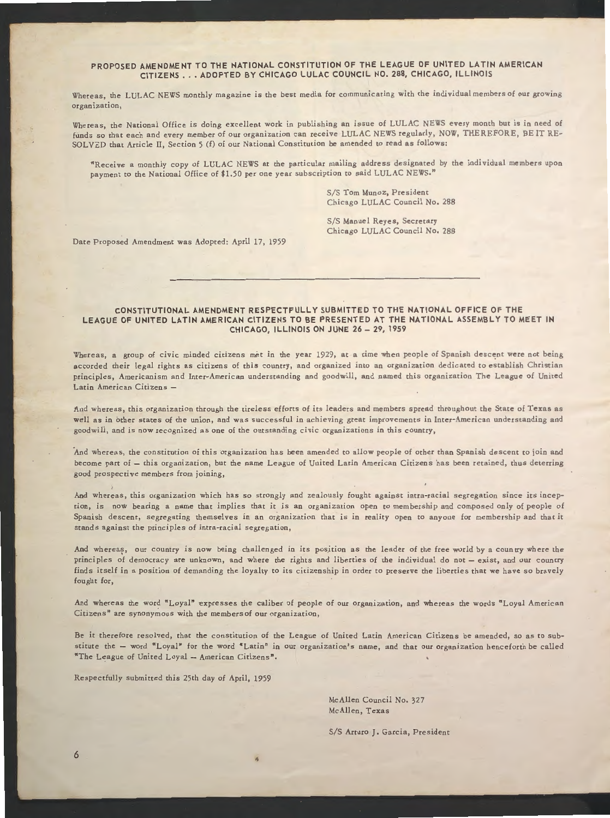## PROPOSED AMENDMENT TO THE NATIONAL CONSTITUTION OF THE LEAGUE OF UNITED LATIN AMERICAN CITIZENS . . . ADOPTED BY CHICAGO LULAC COUNCIL NO. 288, CHICAGO, ILLINOIS

Whereas, the LULAC NEWS monthly magazine is the best media for communicating with the individual members of our growing organization,

Whereas, the National Office is doing excellent work in publishing an issue of LULAC NEWS every month but is in need of funds so that each and every member of our organization can receive LULAC NEWS regularly, NOW, THEREFORE, BE IT RE-SOLVED that Article II, Section 5 (f) of our National Constitution be amended to read as follows:

"Receive a monthly copy of LU LAC NEWS at the particular mailing address designated by the individual members upon payment to the National Office of \$1.50 per one year subscription to said LULAC NEWS."

> S/S Tom Munoz, President Chicago LULAC Council No. 288

S/S Manuel Reyes, Secretary Chicago LULAC Council No. 288

Date Proposed Amendment was Adopted: April 17, 1959

#### CONSTITUTIONAL AMENDMENT RESPECTFULLY SUBMITTED TO THE NATIONAL OFFICE OF THE LEAGUE OF UNITED LATIN AMERICAN CITIZENS TO BE PRESENTED AT THE NATIONAL ASSEMBLY TO MEET IN CHICAGO, ILLINOIS ON JUNE 26 - 29, 1959

Whereas, a group of civic minded citizens met in the year 1929, at a time when people of Spanish descent were not being accorded their legal rights as citizens of this country, and organized into an organization dedicated to establish Christian principles, Americanism and Inter-American understanding and goodwill, and named this organization The League of United Latin American Citizens -

And whereas, this organization through the tireless efforts of its leaders and members spread throughout the State of Texas as well as in other states of the union, and was successful in achieving great improvements in Inter-American understanding and goodwill, and is now recognized as one of the outstanding civic organizations in this country,

·And whereas, the constitution of this organization has been amended to allow people of other than Spanish descent to join and become part of - this organization, but the name League of United Latin American Citizens has been retained, thus deterring good prospective members from joining,

And whereas, this organization which has so strongly and zealously fought against intra-racial segregation since its inception, is now bearing a name that implies that it is an organization open to membership and composed only of people of Spanish descent, segregating themselves in an organization that is in reality open to anyone for membership and that it stands against the principles of intra-racial segregation,

And whereas, our country is now being challenged in its position as the leader of the free world by a country where the principles of democracy are unknown, and where the rights and liberties of the individual do not - exist, and our country finds itself in a position of demanding the loyalty to its citizenship in order to preserve the liberties that we have so bravely fought for,

And whereas the word "Loyal" expresses the caliber of people of our organization, and whereas the words "Loyal American Citizens" are synonymous with the members of our organization,

Be it therefore resolved, that the constitution of the League of United Latin American Citizens be amended, so as to substitute the - word "Loyal" for the word "Latin" in our organization's name, and that our organization henceforth be called "The League of United Loyal - American Citizens".

Respectfully submitted this 25th day of April, 1959

McAllen Council No. 327 McAllen, Texas

S/S Arturo J. Garcia, President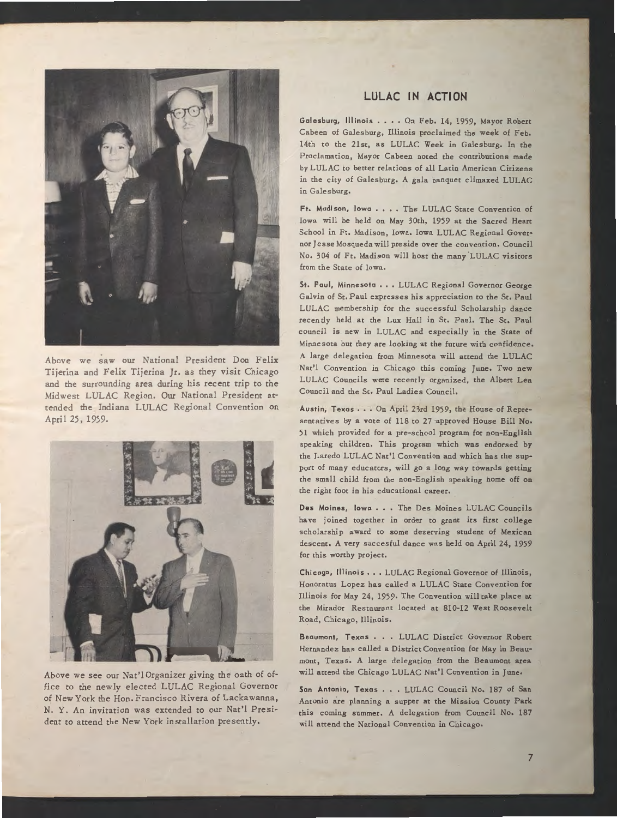

Above we saw our National President Don Felix Tijerina and Felix Tijerina Jr. as they visit Chicago and the surrounding area during his recent trip to the Midwest LULAC Region. Our National President attended the Indiana LULAC Regional Convention on April 25, 1959.



Above we see our Nat'l Organizer giving the oath of office to the newly elected LULAC Regional Governor of New York the Hon. Francisco Rivera of Lackawanna, N. Y. An invitation was extended co our Nac'l President to attend the New York installation presently.

## LULAC IN ACTION

Galesburg, Illinois . . . . On Feb. 14, 1959, Mayor Robert Cabeen of Galesburg, Illinois proclaimed the week of Feb, 14th to the 21st, as LULAC Week in Galesburg. In the Proclamation, Mayor Cabeen noted the contributions made by LULAC to better relations of all Latin American Citizens in the city of Galesburg. A gala banquet climaxed LULAC in Galesburg.

Ft. Madison, lowa . . . . The LULAC State Convention of Iowa will be held on May 30th, 1959 at the Sacred Heart School in Ft, Madison, Iowa. Iowa LULAC Regional Governor Jesse Mosqueda will preside over the convention. Council No. 304 of Ft. Madison will host the many LULAC visitors from the State of Iowa.

St. Paul, Minnesota . . . LULAC Regional Governor George Galvin of Sc. Paul expresses his appreciation to the Sc. Paul LULAC membership for the successful Scholarship dance recently held at the Lux Hall in St. Paul. The St, Paul council is new in LULAC and especially in the State of Minnesota but they are looking at the future with confidence. A large delegation from Minnesota will attend the LULAC Nac'l Convention in Chicago this coming June, Two new LULAC Councils were recently organized, the Albert Lea Council and the Sc. Paul Ladies Council.

Austin, Texas . . . On April 23rd 1959, the House of Representatives by a vote of 118 to 27 approved House Bill No. 51 which provided for a pre-school program for non-English speaking children. This program which was endorsed by the Laredo LULAC Nat'l Convention and which has the support of many educators, will go a long way cowards getting the small child from the non-English speaking home off on the right foot in his educational career.

Des Moines, Iowa... The Des Moines LULAC Councils have joined together in order to grant its first college scholarship award co some deserving student of Mexican descent, A very succesful dance was held on April 24, 1959 for this worthy project.

Chicago, Illinois ••• LULAC Regional Governor of Illinois, Honoracus Lopez has called a LULAC State Convention for Illinois for May 24, 1959, The Convention will take place at the Mirador Restaurant located at 810-12 West Roosevelt Road, Chicago, Illinois.

Beaumont, Texas . . . LULAC District Governor Robert Hernandez has called a District Convention for May in Beaumont, Texas. A large delegation from the Beaumont area will attend the Chicago LULAC Nat'l Convention in June.

San Antonio, Texas . . . LULAC Council No. 187 of San Antonio are planning a supper at the Mission County Park this coming summer. A delegation from Council No. 187 will attend the National Convention in Chicago.